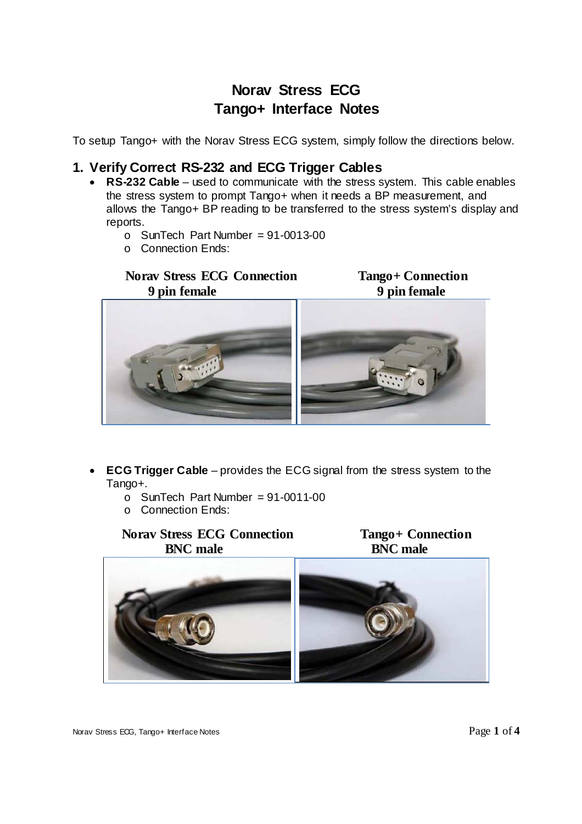# **Norav Stress ECG Tango+ Interface Notes**

To setup Tango+ with the Norav Stress ECG system, simply follow the directions below.

## **1. Verify Correct RS-232 and ECG Trigger Cables**

- **RS-232 Cable**  used to communicate with the stress system. This cable enables the stress system to prompt Tango+ when it needs a BP measurement, and allows the Tango+ BP reading to be transferred to the stress system's display and reports.
	- $\circ$  SunTech Part Number = 91-0013-00
	- o Connection Ends:

### **Norav Stress ECG Connection Tango+ Connection 9 pin female 9 pin female**



- **ECG Trigger Cable**  provides the ECG signal from the stress system to the Tango+.
	- $\circ$  SunTech Part Number = 91-0011-00
	- o Connection Ends:

### **Norav Stress ECG Connection**<br>**RNC male**<br>**RNC male BNC** male





Norav Stress ECG, Tango+ Interface Notes **Page 1** of 4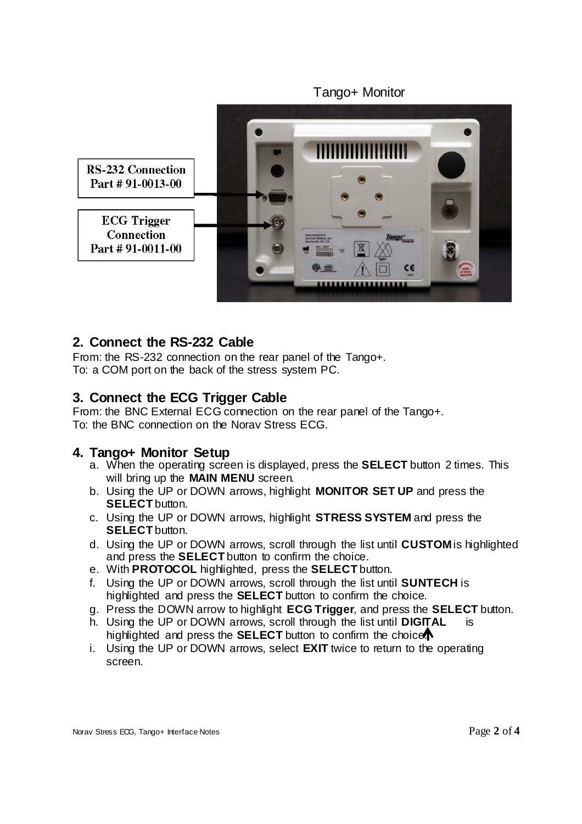Tango+ Monitor **RS-232 Connection** Part #91-0013-00 **ECG** Trigger **Connection** Part #91-0011-00

## **2. Connect the RS-232 Cable**

From: the RS-232 connection on the rear panel of the Tango+. To: a COM port on the back of the stress system PC.

## **3. Connect the ECG Trigger Cable**

From: the BNC External ECG connection on the rear panel of the Tango+. To: the BNC connection on the Norav Stress ECG.

## **4. Tango+ Monitor Setup**

- a. When the operating screen is displayed, press the **SELECT** button 2 times. This will bring up the **MAIN MENU** screen.
- b. Using the UP or DOWN arrows, highlight **MONITOR SET UP** and press the **SELECT** button.
- c. Using the UP or DOWN arrows, highlight **STRESS SYSTEM** and press the **SELECT** button.
- d. Using the UP or DOWN arrows, scroll through the list until **CUSTOM** is highlighted and press the **SELECT** button to confirm the choice.
- e. With **PROTOCOL** highlighted, press the **SELECT** button.
- f. Using the UP or DOWN arrows, scroll through the list until **SUNTECH** is highlighted and press the **SELECT** button to confirm the choice.
- g. Press the DOWN arrow to highlight **ECG Trigger**, and press the **SELECT** button.
- h. Using the UP or DOWN arrows, scroll through the list until **DIGITAL** is highlighted and press the **SELECT** button to confirm the choice.
- i. Using the UP or DOWN arrows, select **EXIT** twice to return to the operating screen.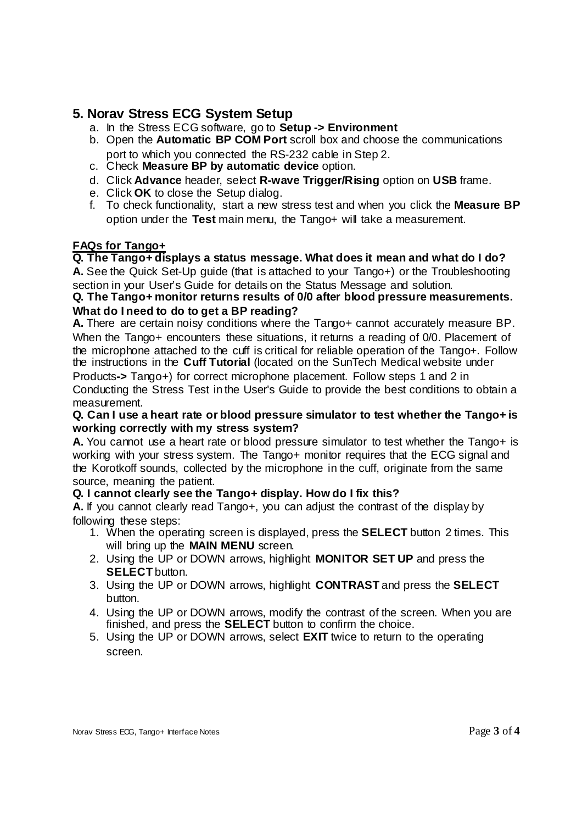# **5. Norav Stress ECG System Setup**

- a. In the Stress ECG software, go to **Setup -> Environment**
- b. Open the **Automatic BP COM Port** scroll box and choose the communications port to which you connected the RS-232 cable in Step 2.
- c. Check **Measure BP by automatic device** option.
- d. Click **Advance** header, select **R-wave Trigger/Rising** option on **USB** frame.
- e. Click **OK** to close the Setup dialog.
- f. To check functionality, start a new stress test and when you click the **Measure BP**  option under the **Test** main menu, the Tango+ will take a measurement.

### **FAQs for Tango+**

### **Q. The Tango+ displays a status message. What does it mean and what do I do?**

**A.** See the Quick Set-Up guide (that is attached to your Tango+) or the Troubleshooting section in your User's Guide for details on the Status Message and solution.

#### **Q. The Tango+ monitor returns results of 0/0 after blood pressure measurements. What do I need to do to get a BP reading?**

**A.** There are certain noisy conditions where the Tango+ cannot accurately measure BP. When the Tango+ encounters these situations, it returns a reading of 0/0. Placement of the microphone attached to the cuff is critical for reliable operation of the Tango+. Follow the instructions in the **Cuff Tutorial** (located on the SunTech Medical website under

Products**->** Tango+) for correct microphone placement. Follow steps 1 and 2 in Conducting the Stress Test in the User's Guide to provide the best conditions to obtain a measurement.

#### **Q. Can I use a heart rate or blood pressure simulator to test whether the Tango+ is working correctly with my stress system?**

**A.** You cannot use a heart rate or blood pressure simulator to test whether the Tango+ is working with your stress system. The Tango+ monitor requires that the ECG signal and the Korotkoff sounds, collected by the microphone in the cuff, originate from the same source, meaning the patient.

#### **Q. I cannot clearly see the Tango+ display. How do I fix this?**

**A.** If you cannot clearly read Tango+, you can adjust the contrast of the display by following these steps:

- 1. When the operating screen is displayed, press the **SELECT** button 2 times. This will bring up the **MAIN MENU** screen.
- 2. Using the UP or DOWN arrows, highlight **MONITOR SET UP** and press the **SELECT** button.
- 3. Using the UP or DOWN arrows, highlight **CONTRAST** and press the **SELECT**  button.
- 4. Using the UP or DOWN arrows, modify the contrast of the screen. When you are finished, and press the **SELECT** button to confirm the choice.
- 5. Using the UP or DOWN arrows, select **EXIT** twice to return to the operating screen.